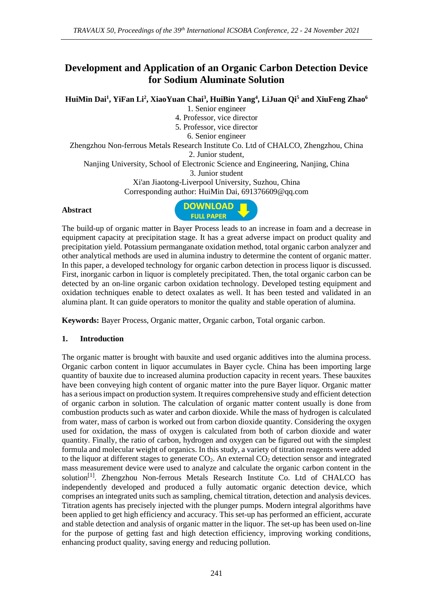# **Development and Application of an Organic Carbon Detection Device for Sodium Aluminate Solution**

**HuiMin Dai<sup>1</sup> , YiFan Li<sup>2</sup> , XiaoYuan Chai<sup>3</sup> , HuiBin Yang<sup>4</sup> , LiJuan Qi<sup>5</sup> and XiuFeng Zhao<sup>6</sup>**

1. Senior engineer

4. Professor, vice director

5. Professor, vice director

6. Senior engineer

Zhengzhou Non-ferrous Metals Research Institute Co. Ltd of CHALCO, Zhengzhou, China 2. Junior student,

Nanjing University, School of Electronic Science and Engineering, Nanjing, China 3. Junior student

Xi'an Jiaotong-Liverpool University, Suzhou, China Corresponding author: HuiMin Dai, 691376609@qq.com

#### **Abstract**



The build-up of organic matter in Bayer Process leads to an increase in foam and a decrease in equipment capacity at precipitation stage. It has a great adverse impact on product quality and precipitation yield. Potassium permanganate oxidation method, total organic carbon analyzer and other analytical methods are used in alumina industry to determine the content of organic matter. In this paper, a developed technology for organic carbon detection in process liquor is discussed. First, inorganic carbon in liquor is completely precipitated. Then, the total organic carbon can be detected by an on-line organic carbon oxidation technology. Developed testing equipment and oxidation techniques enable to detect oxalates as well. It has been tested and validated in an alumina plant. It can guide operators to monitor the quality and stable operation of alumina.

**Keywords:** Bayer Process, Organic matter, Organic carbon, Total organic carbon.

### **1. Introduction**

The organic matter is brought with bauxite and used organic additives into the alumina process. Organic carbon content in liquor accumulates in Bayer cycle. China has been importing large quantity of bauxite due to increased alumina production capacity in recent years. These bauxites have been conveying high content of organic matter into the pure Bayer liquor. Organic matter has a serious impact on production system. It requires comprehensive study and efficient detection of organic carbon in solution. The calculation of organic matter content usually is done from combustion products such as water and carbon dioxide. While the mass of hydrogen is calculated from water, mass of carbon is worked out from carbon dioxide quantity. Considering the oxygen used for oxidation, the mass of oxygen is calculated from both of carbon dioxide and water quantity. Finally, the ratio of carbon, hydrogen and oxygen can be figured out with the simplest formula and molecular weight of organics. In this study, a variety of titration reagents were added to the liquor at different stages to generate  $CO<sub>2</sub>$ . An external  $CO<sub>2</sub>$  detection sensor and integrated mass measurement device were used to analyze and calculate the organic carbon content in the solution<sup>[1]</sup>. Zhengzhou Non-ferrous Metals Research Institute Co. Ltd of CHALCO has independently developed and produced a fully automatic organic detection device, which comprises an integrated units such as sampling, chemical titration, detection and analysis devices. Titration agents has precisely injected with the plunger pumps. Modern integral algorithms have been applied to get high efficiency and accuracy. This set-up has performed an efficient, accurate and stable detection and analysis of organic matter in the liquor. The set-up has been used on-line for the purpose of getting fast and high detection efficiency, improving working conditions, enhancing product quality, saving energy and reducing pollution.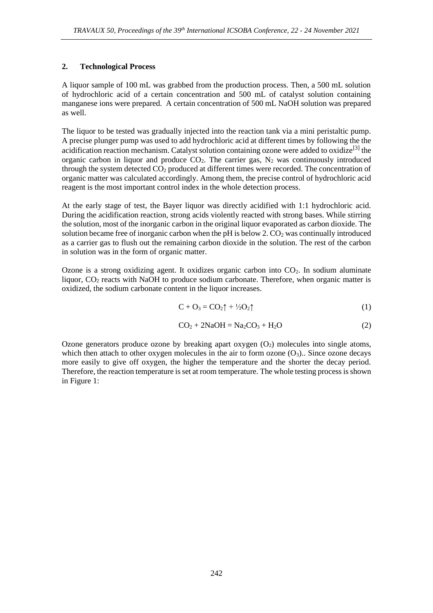### **2. Technological Process**

A liquor sample of 100 mL was grabbed from the production process. Then, a 500 mL solution of hydrochloric acid of a certain concentration and 500 mL of catalyst solution containing manganese ions were prepared. A certain concentration of 500 mL NaOH solution was prepared as well.

The liquor to be tested was gradually injected into the reaction tank via a mini peristaltic pump. A precise plunger pump was used to add hydrochloric acid at different times by following the the acidification reaction mechanism. Catalyst solution containing ozone were added to oxidize<sup>[3]</sup> the organic carbon in liquor and produce  $CO<sub>2</sub>$ . The carrier gas,  $N<sub>2</sub>$  was continuously introduced through the system detected  $CO<sub>2</sub>$  produced at different times were recorded. The concentration of organic matter was calculated accordingly. Among them, the precise control of hydrochloric acid reagent is the most important control index in the whole detection process.

At the early stage of test, the Bayer liquor was directly acidified with 1:1 hydrochloric acid. During the acidification reaction, strong acids violently reacted with strong bases. While stirring the solution, most of the inorganic carbon in the original liquor evaporated as carbon dioxide. The solution became free of inorganic carbon when the pH is below  $2$ .  $CO<sub>2</sub>$  was continually introduced as a carrier gas to flush out the remaining carbon dioxide in the solution. The rest of the carbon in solution was in the form of organic matter.

Ozone is a strong oxidizing agent. It oxidizes organic carbon into CO2. In sodium aluminate liquor, CO<sub>2</sub> reacts with NaOH to produce sodium carbonate. Therefore, when organic matter is oxidized, the sodium carbonate content in the liquor increases.

$$
C + O_3 = CO_2 \uparrow + \frac{1}{2}O_2 \uparrow \qquad (1)
$$

$$
CO2 + 2NaOH = Na2CO3 + H2O
$$
 (2)

Ozone generators produce ozone by breaking apart  $\alpha$ ygen  $(O_2)$  molecules into single atoms, which then attach to other oxygen molecules in the air to form ozone  $(O_3)$ . Since ozone decays more easily to give off oxygen, the higher the temperature and the shorter the decay period. Therefore, the reaction temperature is set at room temperature. The whole testing process is shown in Figure 1: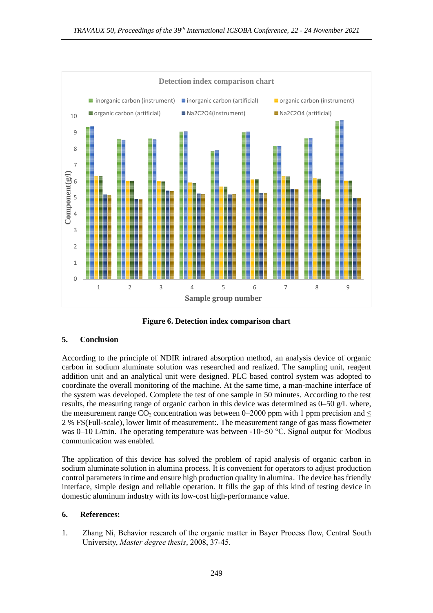

**Figure 6. Detection index comparison chart**

## **5. Conclusion**

According to the principle of NDIR infrared absorption method, an analysis device of organic carbon in sodium aluminate solution was researched and realized. The sampling unit, reagent addition unit and an analytical unit were designed. PLC based control system was adopted to coordinate the overall monitoring of the machine. At the same time, a man-machine interface of the system was developed. Complete the test of one sample in 50 minutes. According to the test results, the measuring range of organic carbon in this device was determined as  $0-50$  g/L where, the measurement range CO<sub>2</sub> concentration was between 0–2000 ppm with 1 ppm precision and  $\leq$ 2 % FS(Full-scale), lower limit of measurement:. The measurement range of gas mass flowmeter was 0–10 L/min. The operating temperature was between -10~50 °C. Signal output for Modbus communication was enabled.

The application of this device has solved the problem of rapid analysis of organic carbon in sodium aluminate solution in alumina process. It is convenient for operators to adjust production control parameters in time and ensure high production quality in alumina. The device has friendly interface, simple design and reliable operation. It fills the gap of this kind of testing device in domestic aluminum industry with its low-cost high-performance value.

### **6. References:**

1. Zhang Ni, Behavior research of the organic matter in Bayer Process flow, Central South University, *Master degree thesis*, 2008, 37-45.